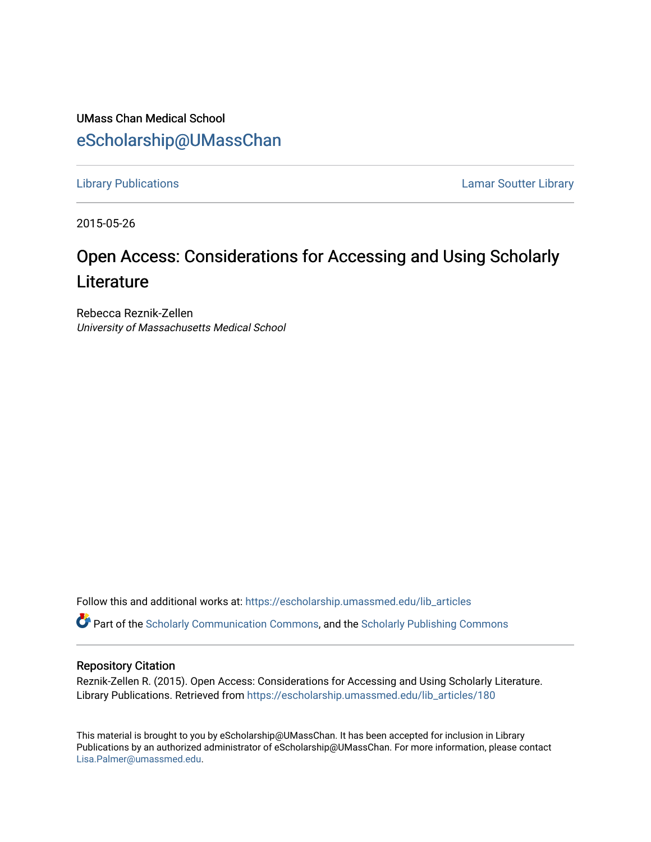UMass Chan Medical School [eScholarship@UMassChan](https://escholarship.umassmed.edu/) 

[Library Publications](https://escholarship.umassmed.edu/lib_articles) [Lamar Soutter Library](https://escholarship.umassmed.edu/library) 

2015-05-26

## Open Access: Considerations for Accessing and Using Scholarly **Literature**

Rebecca Reznik-Zellen University of Massachusetts Medical School

Follow this and additional works at: [https://escholarship.umassmed.edu/lib\\_articles](https://escholarship.umassmed.edu/lib_articles?utm_source=escholarship.umassmed.edu%2Flib_articles%2F180&utm_medium=PDF&utm_campaign=PDFCoverPages) 

Part of the [Scholarly Communication Commons,](http://network.bepress.com/hgg/discipline/1272?utm_source=escholarship.umassmed.edu%2Flib_articles%2F180&utm_medium=PDF&utm_campaign=PDFCoverPages) and the [Scholarly Publishing Commons](http://network.bepress.com/hgg/discipline/1273?utm_source=escholarship.umassmed.edu%2Flib_articles%2F180&utm_medium=PDF&utm_campaign=PDFCoverPages)

## Repository Citation

Reznik-Zellen R. (2015). Open Access: Considerations for Accessing and Using Scholarly Literature. Library Publications. Retrieved from [https://escholarship.umassmed.edu/lib\\_articles/180](https://escholarship.umassmed.edu/lib_articles/180?utm_source=escholarship.umassmed.edu%2Flib_articles%2F180&utm_medium=PDF&utm_campaign=PDFCoverPages)

This material is brought to you by eScholarship@UMassChan. It has been accepted for inclusion in Library Publications by an authorized administrator of eScholarship@UMassChan. For more information, please contact [Lisa.Palmer@umassmed.edu](mailto:Lisa.Palmer@umassmed.edu).